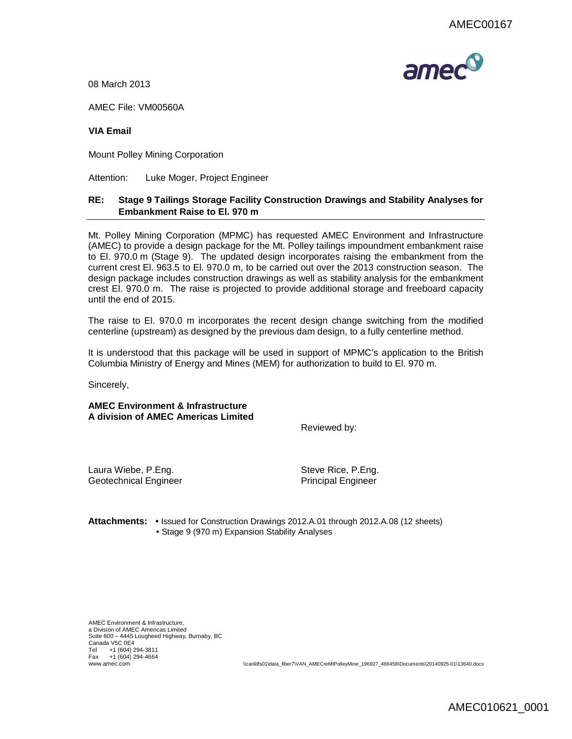

08 March 2013

AMEC File: VM00560A

## **VIA Email**

Mount Polley Mining Corporation

Attention: Luke Moger, Project Engineer

## **RE: Stage 9 Tailings Storage Facility Construction Drawings and Stability Analyses for Embankment Raise to El. 970 m**

Mt. Polley Mining Corporation (MPMC) has requested AMEC Environment and Infrastructure (AMEC) to provide a design package for the Mt. Polley tailings impoundment embankment raise to El. 970.0 m (Stage 9). The updated design incorporates raising the embankment from the current crest El. 963.5 to El. 970.0 m, to be carried out over the 2013 construction season. The design package includes construction drawings as well as stability analysis for the embankment crest El. 970.0 m. The raise is projected to provide additional storage and freeboard capacity until the end of 2015.

The raise to El. 970.0 m incorporates the recent design change switching from the modified centerline (upstream) as designed by the previous dam design, to a fully centerline method.

It is understood that this package will be used in support of MPMC's application to the British Columbia Ministry of Energy and Mines (MEM) for authorization to build to El. 970 m.

Sincerely,

**AMEC Environment & Infrastructure A division of AMEC Americas Limited**

Reviewed by:

Laura Wiebe, P.Eng. Steve Rice, P.Eng. Geotechnical Engineer **Principal Engineer** Principal Engineer

**Attachments:** • Issued for Construction Drawings 2012.A.01 through 2012.A.08 (12 sheets) • Stage 9 (970 m) Expansion Stability Analyses

AMEC Environment & Infrastructure, a Division of AMEC Americas Limited Suite 600 – 4445 Lougheed Highway, Burnaby, BC Canada V5C 0E4 Tel +1 (604) 294-3811 Fax +1 (604) 294-4664

www.amec.com \\canlitfs01\data\_fiber7\VAN\_AMECreMtPolleyMine\_196927\_466458\Documents\20140925-01\13640.docx